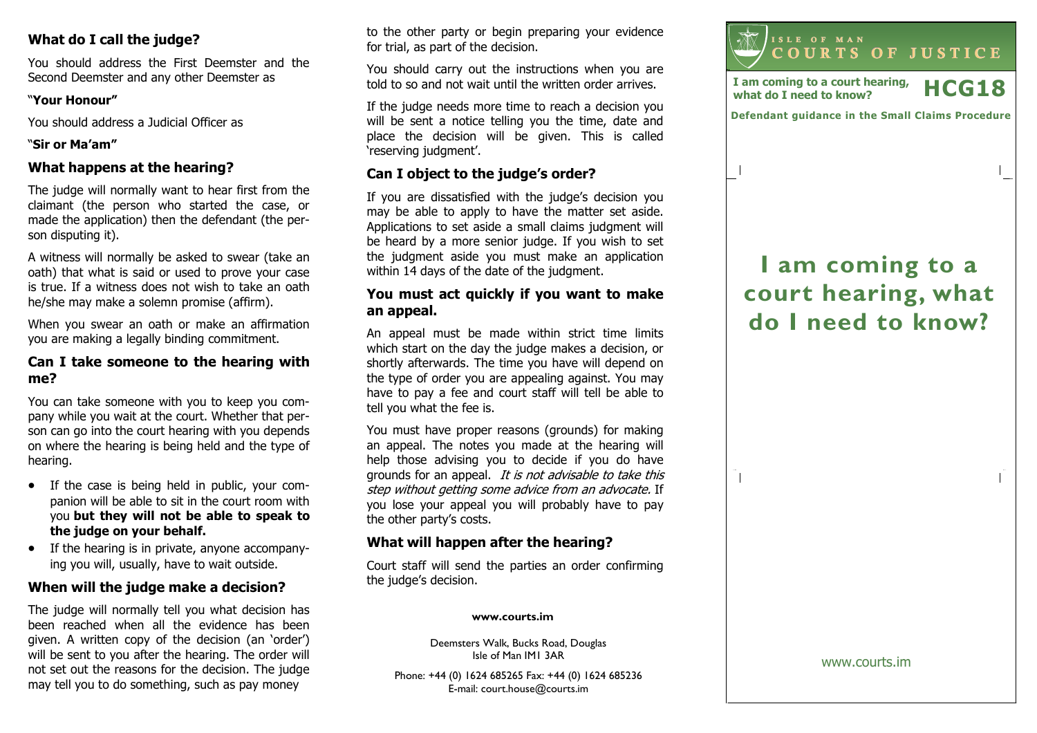# What do I call the judge?

You should address the First Deemster and the Second Deemster and any other Deemster as

### "Your Honour"

You should address a Judicial Officer as

### "Sir or Ma'am"

## What happens at the hearing?

The judge will normally want to hear first from the claimant (the person who started the case, or made the application) then the defendant (the person disputing it).

A witness will normally be asked to swear (take an oath) that what is said or used to prove your case is true. If a witness does not wish to take an oathhe/she may make a solemn promise (affirm).

When you swear an oath or make an affirmation you are making a legally binding commitment.

### Can I take someone to the hearing with me?

You can take someone with you to keep you company while you wait at the court. Whether that person can go into the court hearing with you depends on where the hearing is being held and the type of hearing.

- If the case is being held in public, your companion will be able to sit in the court room with you but they will not be able to speak to the judge on your behalf.
- If the hearing is in private, anyone accompanying you will, usually, have to wait outside.

# When will the judge make a decision?

The judge will normally tell you what decision has been reached when all the evidence has been given. A written copy of the decision (an 'order') will be sent to you after the hearing. The order will not set out the reasons for the decision. The judgemay tell you to do something, such as pay money

to the other party or begin preparing your evidencefor trial, as part of the decision.

You should carry out the instructions when you are told to so and not wait until the written order arrives.

If the judge needs more time to reach a decision you will be sent a notice telling you the time, date and place the decision will be given. This is called 'reserving judgment'.

# Can I object to the judge's order?

If you are dissatisfied with the judge's decision you may be able to apply to have the matter set aside. Applications to set aside a small claims judgment will be heard by a more senior judge. If you wish to set the judgment aside you must make an application within 14 days of the date of the judgment.

### You must act quickly if you want to make an appeal.

An appeal must be made within strict time limits which start on the day the judge makes a decision, or shortly afterwards. The time you have will depend on the type of order you are appealing against. You may have to pay a fee and court staff will tell be able to tell you what the fee is.

You must have proper reasons (grounds) for making an appeal. The notes you made at the hearing will help those advising you to decide if you do have grounds for an appeal. It is not advisable to take this step without getting some advice from an advocate. If you lose your appeal you will probably have to pay the other party's costs.

# What will happen after the hearing?

Court staff will send the parties an order confirming the judge's decision.

#### www.courts.im

Deemsters Walk, Bucks Road, Douglas Isle of Man IM1 3AR

Phone: +44 (0) 1624 685265 Fax: +44 (0) 1624 685236E-mail: court.house@courts.im



I am coming to a court hearing, I am coming to a court nearing,  $\text{HCG18}$ 

 $\overline{\phantom{a}}$ 

Defendant guidance in the Small Claims Procedure

# I am coming to a court hearing, what do I need to know?